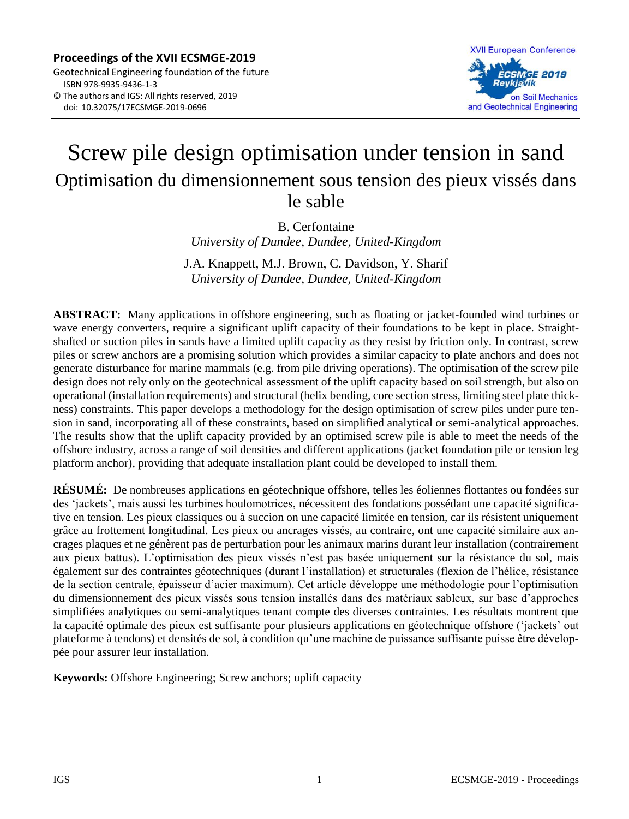

# Screw pile design optimisation under tension in sand Optimisation du dimensionnement sous tension des pieux vissés dans le sable

B. Cerfontaine *University of Dundee, Dundee, United-Kingdom*

J.A. Knappett, M.J. Brown, C. Davidson, Y. Sharif *University of Dundee, Dundee, United-Kingdom*

**ABSTRACT:** Many applications in offshore engineering, such as floating or jacket-founded wind turbines or wave energy converters, require a significant uplift capacity of their foundations to be kept in place. Straightshafted or suction piles in sands have a limited uplift capacity as they resist by friction only. In contrast, screw piles or screw anchors are a promising solution which provides a similar capacity to plate anchors and does not generate disturbance for marine mammals (e.g. from pile driving operations). The optimisation of the screw pile design does not rely only on the geotechnical assessment of the uplift capacity based on soil strength, but also on operational (installation requirements) and structural (helix bending, core section stress, limiting steel plate thickness) constraints. This paper develops a methodology for the design optimisation of screw piles under pure tension in sand, incorporating all of these constraints, based on simplified analytical or semi-analytical approaches. The results show that the uplift capacity provided by an optimised screw pile is able to meet the needs of the offshore industry, across a range of soil densities and different applications (jacket foundation pile or tension leg platform anchor), providing that adequate installation plant could be developed to install them.

**RÉSUMÉ:** De nombreuses applications en géotechnique offshore, telles les éoliennes flottantes ou fondées sur des 'jackets', mais aussi les turbines houlomotrices, nécessitent des fondations possédant une capacité significative en tension. Les pieux classiques ou à succion on une capacité limitée en tension, car ils résistent uniquement grâce au frottement longitudinal. Les pieux ou ancrages vissés, au contraire, ont une capacité similaire aux ancrages plaques et ne génèrent pas de perturbation pour les animaux marins durant leur installation (contrairement aux pieux battus). L'optimisation des pieux vissés n'est pas basée uniquement sur la résistance du sol, mais également sur des contraintes géotechniques (durant l'installation) et structurales (flexion de l'hélice, résistance de la section centrale, épaisseur d'acier maximum). Cet article développe une méthodologie pour l'optimisation du dimensionnement des pieux vissés sous tension installés dans des matériaux sableux, sur base d'approches simplifiées analytiques ou semi-analytiques tenant compte des diverses contraintes. Les résultats montrent que la capacité optimale des pieux est suffisante pour plusieurs applications en géotechnique offshore ('jackets' out plateforme à tendons) et densités de sol, à condition qu'une machine de puissance suffisante puisse être développée pour assurer leur installation.

**Keywords:** Offshore Engineering; Screw anchors; uplift capacity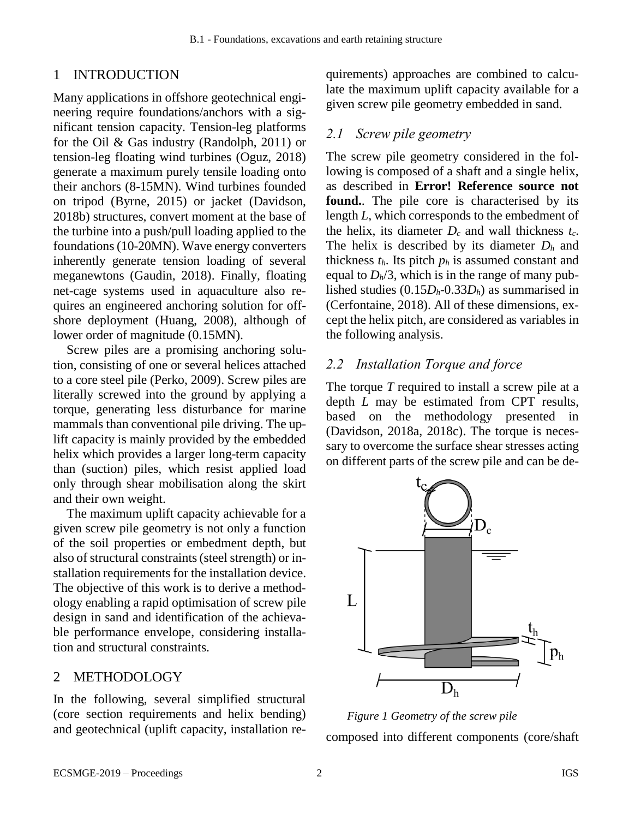# 1 INTRODUCTION

Many applications in offshore geotechnical engineering require foundations/anchors with a significant tension capacity. Tension-leg platforms for the Oil & Gas industry (Randolph, 2011) or tension-leg floating wind turbines (Oguz, 2018) generate a maximum purely tensile loading onto their anchors (8-15MN). Wind turbines founded on tripod (Byrne, 2015) or jacket (Davidson, 2018b) structures, convert moment at the base of the turbine into a push/pull loading applied to the foundations(10-20MN). Wave energy converters inherently generate tension loading of several meganewtons (Gaudin, 2018). Finally, floating net-cage systems used in aquaculture also requires an engineered anchoring solution for offshore deployment (Huang, 2008), although of lower order of magnitude (0.15MN).

Screw piles are a promising anchoring solution, consisting of one or several helices attached to a core steel pile (Perko, 2009). Screw piles are literally screwed into the ground by applying a torque, generating less disturbance for marine mammals than conventional pile driving. The uplift capacity is mainly provided by the embedded helix which provides a larger long-term capacity than (suction) piles, which resist applied load only through shear mobilisation along the skirt and their own weight.

The maximum uplift capacity achievable for a given screw pile geometry is not only a function of the soil properties or embedment depth, but also of structural constraints (steel strength) or installation requirements for the installation device. The objective of this work is to derive a methodology enabling a rapid optimisation of screw pile design in sand and identification of the achievable performance envelope, considering installation and structural constraints.

## 2 METHODOLOGY

In the following, several simplified structural (core section requirements and helix bending) and geotechnical (uplift capacity, installation requirements) approaches are combined to calculate the maximum uplift capacity available for a given screw pile geometry embedded in sand.

## *2.1 Screw pile geometry*

The screw pile geometry considered in the following is composed of a shaft and a single helix, as described in **Error! Reference source not found.**. The pile core is characterised by its length *L*, which corresponds to the embedment of the helix, its diameter  $D_c$  and wall thickness  $t_c$ . The helix is described by its diameter  $D_h$  and thickness  $t_h$ . Its pitch  $p_h$  is assumed constant and equal to  $D_h/3$ , which is in the range of many published studies  $(0.15D_h - 0.33D_h)$  as summarised in (Cerfontaine, 2018). All of these dimensions, except the helix pitch, are considered as variables in the following analysis.

# *2.2 Installation Torque and force*

The torque *T* required to install a screw pile at a depth *L* may be estimated from CPT results, based on the methodology presented in (Davidson, 2018a, 2018c). The torque is necessary to overcome the surface shear stresses acting on different parts of the screw pile and can be de-



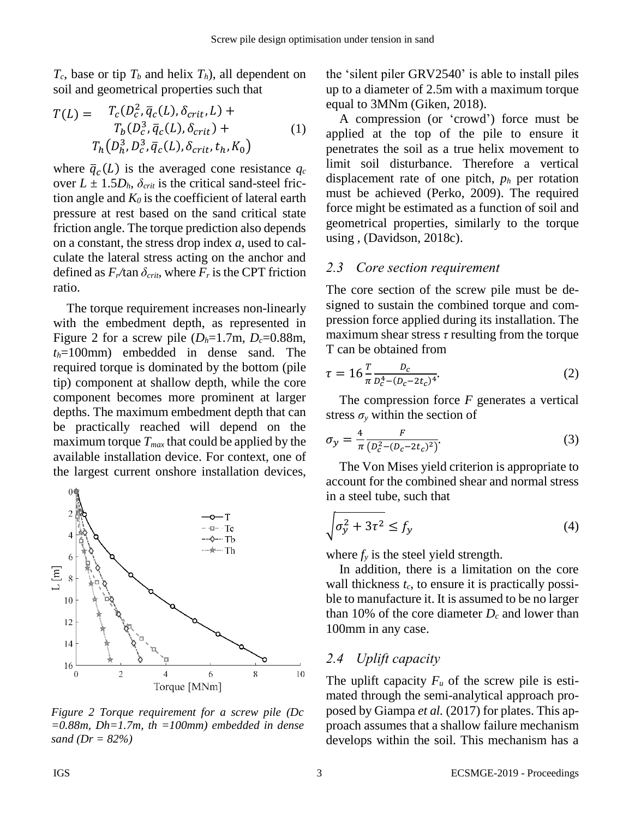$T_c$ , base or tip  $T_b$  and helix  $T_b$ ), all dependent on soil and geometrical properties such that

$$
T(L) = T_c(D_c^2, \overline{q}_c(L), \delta_{crit}, L) + T_b(D_c^3, \overline{q}_c(L), \delta_{crit}) + T_h(D_h^3, D_c^3, \overline{q}_c(L), \delta_{crit}, t_h, K_0)
$$
\n
$$
(1)
$$

where  $\bar{q}_c(L)$  is the averaged cone resistance  $q_c$ over  $L \pm 1.5D_h$ ,  $\delta_{crit}$  is the critical sand-steel friction angle and  $K_0$  is the coefficient of lateral earth pressure at rest based on the sand critical state friction angle. The torque prediction also depends on a constant, the stress drop index *a*, used to calculate the lateral stress acting on the anchor and defined as  $F_r$ /tan  $\delta_{crit}$ , where  $F_r$  is the CPT friction ratio.

The torque requirement increases non-linearly with the embedment depth, as represented in [Figure 2](#page-2-0) for a screw pile  $(D_h=1.7\text{m}, D_c=0.88\text{m})$ , *th*=100mm) embedded in dense sand. The required torque is dominated by the bottom (pile tip) component at shallow depth, while the core component becomes more prominent at larger depths. The maximum embedment depth that can be practically reached will depend on the maximum torque *Tmax* that could be applied by the available installation device. For context, one of the largest current onshore installation devices,



<span id="page-2-0"></span>*Figure 2 Torque requirement for a screw pile (Dc =0.88m, Dh=1.7m, th =100mm) embedded in dense sand (Dr = 82%)*

the 'silent piler GRV2540' is able to install piles up to a diameter of 2.5m with a maximum torque equal to 3MNm (Giken, 2018).

A compression (or 'crowd') force must be applied at the top of the pile to ensure it penetrates the soil as a true helix movement to limit soil disturbance. Therefore a vertical displacement rate of one pitch, *p<sup>h</sup>* per rotation must be achieved (Perko, 2009). The required force might be estimated as a function of soil and geometrical properties, similarly to the torque using , (Davidson, 2018c).

# *2.3 Core section requirement*

The core section of the screw pile must be designed to sustain the combined torque and compression force applied during its installation. The maximum shear stress *τ* resulting from the torque T can be obtained from

$$
\tau = 16 \frac{T}{\pi} \frac{D_c}{D_c^4 - (D_c - 2t_c)^4}.
$$
\n(2)

The compression force *F* generates a vertical stress  $\sigma$ <sup>*y*</sup> within the section of

$$
\sigma_y = \frac{4}{\pi} \frac{F}{(D_c^2 - (D_c - 2t_c)^2)}.
$$
\n(3)

The Von Mises yield criterion is appropriate to account for the combined shear and normal stress in a steel tube, such that

$$
\sqrt{\sigma_y^2 + 3\tau^2} \le f_y \tag{4}
$$

where  $f<sub>y</sub>$  is the steel yield strength.

In addition, there is a limitation on the core wall thickness *tc*, to ensure it is practically possible to manufacture it. It is assumed to be no larger than 10% of the core diameter *D<sup>c</sup>* and lower than 100mm in any case.

# *2.4 Uplift capacity*

The uplift capacity  $F_u$  of the screw pile is estimated through the semi-analytical approach proposed by Giampa *et al.* (2017) for plates. This approach assumes that a shallow failure mechanism develops within the soil. This mechanism has a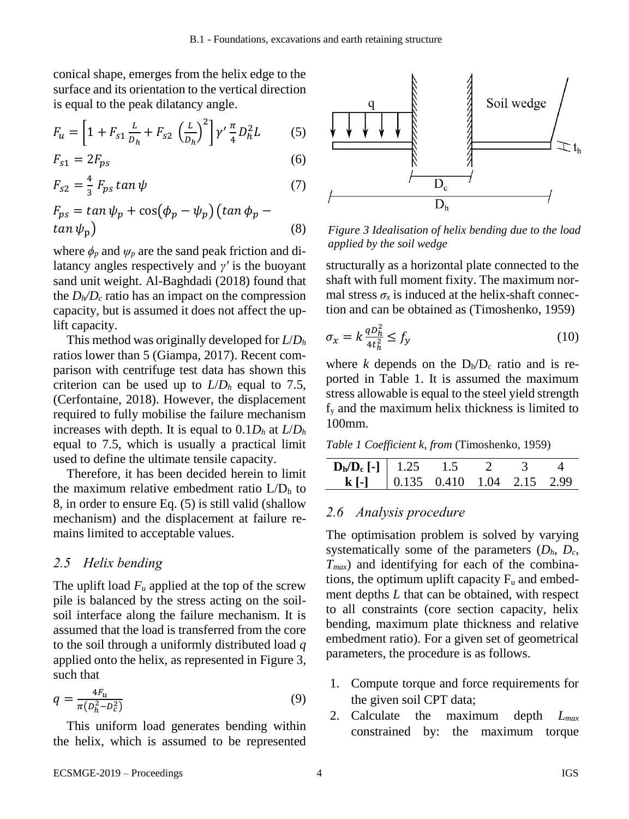conical shape, emerges from the helix edge to the surface and its orientation to the vertical direction is equal to the peak dilatancy angle.

$$
F_u = \left[1 + F_{s1} \frac{L}{D_h} + F_{s2} \left(\frac{L}{D_h}\right)^2\right] \gamma' \frac{\pi}{4} D_h^2 L \tag{5}
$$

$$
F_{s1} = 2F_{ps} \tag{6}
$$

$$
F_{s2} = \frac{4}{3} F_{ps} \tan \psi \tag{7}
$$

$$
F_{ps} = \tan \psi_p + \cos(\phi_p - \psi_p) (\tan \phi_p - \tan \psi_p)
$$
\n(8)

where  $\phi_p$  and  $\psi_p$  are the sand peak friction and dilatancy angles respectively and *γʹ* is the buoyant sand unit weight. Al-Baghdadi (2018) found that the  $D_h/D_c$  ratio has an impact on the compression capacity, but is assumed it does not affect the uplift capacity.

This method was originally developed for *L*/*D<sup>h</sup>* ratios lower than 5 (Giampa, 2017). Recent comparison with centrifuge test data has shown this criterion can be used up to  $L/D_h$  equal to 7.5, (Cerfontaine, 2018). However, the displacement required to fully mobilise the failure mechanism increases with depth. It is equal to  $0.1D_h$  at  $L/D_h$ equal to 7.5, which is usually a practical limit used to define the ultimate tensile capacity.

Therefore, it has been decided herein to limit the maximum relative embedment ratio  $L/D<sub>h</sub>$  to 8, in order to ensure Eq. [\(5\)](#page-3-0) is still valid (shallow mechanism) and the displacement at failure remains limited to acceptable values.

#### *2.5 Helix bending*

The uplift load  $F_u$  applied at the top of the screw pile is balanced by the stress acting on the soilsoil interface along the failure mechanism. It is assumed that the load is transferred from the core to the soil through a uniformly distributed load *q* applied onto the helix, as represented in [Figure 3,](#page-3-1) such that

$$
q = \frac{4F_u}{\pi (D_h^2 - D_c^2)}\tag{9}
$$

This uniform load generates bending within the helix, which is assumed to be represented

<span id="page-3-0"></span>

<span id="page-3-1"></span>*Figure 3 Idealisation of helix bending due to the load applied by the soil wedge*

structurally as a horizontal plate connected to the shaft with full moment fixity. The maximum normal stress  $\sigma_x$  is induced at the helix-shaft connection and can be obtained as (Timoshenko, 1959)

$$
\sigma_x = k \frac{q b_h^2}{4t_h^2} \le f_y \tag{10}
$$

where *k* depends on the  $D_h/D_c$  ratio and is reported in [Table 1.](#page-3-2) It is assumed the maximum stress allowable is equal to the steel yield strength f<sup>y</sup> and the maximum helix thickness is limited to 100mm.

<span id="page-3-2"></span>*Table 1 Coefficient k, from* (Timoshenko, 1959)

| $\boxed{\mathbf{D}_{\mathbf{h}}/\mathbf{D}_{\mathbf{c}}$ [-] 1.25 1.5 2 3 4     |  |  |  |
|---------------------------------------------------------------------------------|--|--|--|
| <b>k</b> [-] $\begin{bmatrix} 0.135 & 0.410 & 1.04 & 2.15 & 2.99 \end{bmatrix}$ |  |  |  |

#### *2.6 Analysis procedure*

The optimisation problem is solved by varying systematically some of the parameters  $(D_h, D_c,$ *Tmax*) and identifying for each of the combinations, the optimum uplift capacity  $F_u$  and embedment depths *L* that can be obtained, with respect to all constraints (core section capacity, helix bending, maximum plate thickness and relative embedment ratio). For a given set of geometrical parameters, the procedure is as follows.

- 1. Compute torque and force requirements for the given soil CPT data;
- 2. Calculate the maximum depth *Lmax* constrained by: the maximum torque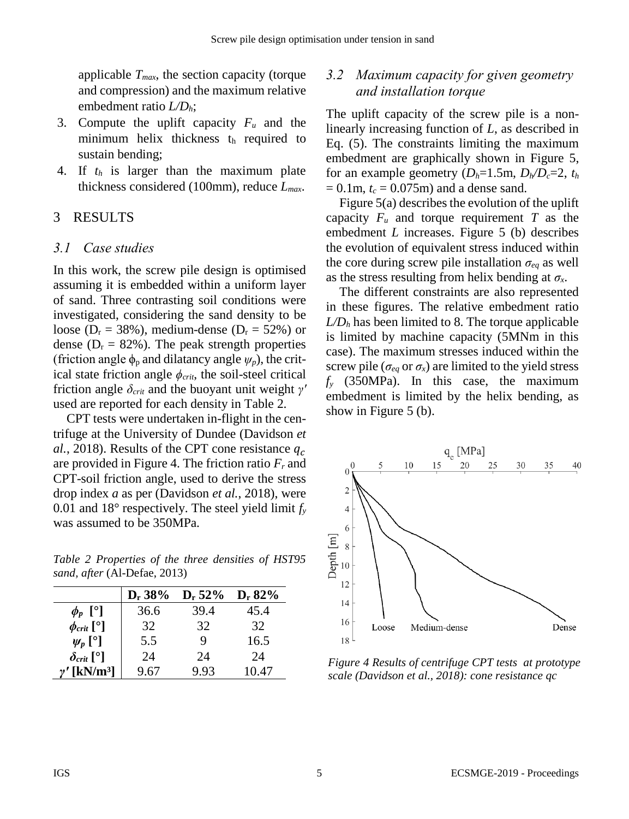<span id="page-4-2"></span>applicable *Tmax*, the section capacity (torque and compression) and the maximum relative embedment ratio *L/Dh*;

- 3. Compute the uplift capacity *F<sup>u</sup>* and the minimum helix thickness the required to sustain bending;
- 4. If *t<sup>h</sup>* is larger than the maximum plate thickness considered (100mm), reduce *Lmax*.

# 3 RESULTS

# *3.1 Case studies*

In this work, the screw pile design is optimised assuming it is embedded within a uniform layer of sand. Three contrasting soil conditions were investigated, considering the sand density to be loose ( $D_r = 38\%$ ), medium-dense ( $D_r = 52\%$ ) or dense ( $D_r = 82\%$ ). The peak strength properties (friction angle  $\phi_p$  and dilatancy angle  $\psi_p$ ), the critical state friction angle  $\phi_{\text{crit}}$ , the soil-steel critical friction angle *δcrit* and the buoyant unit weight *γʹ* used are reported for each density in [Table 2.](#page-4-0)

CPT tests were undertaken in-flight in the centrifuge at the University of Dundee (Davidson *et al.*, 2018). Results of the CPT cone resistance  $q_c$ are provided in [Figure 4.](#page-4-1) The friction ratio *F<sup>r</sup>* and CPT-soil friction angle, used to derive the stress drop index *a* as per (Davidson *et al.*, 2018), were 0.01 and 18° respectively. The steel yield limit *f<sup>y</sup>* was assumed to be 350MPa.

<span id="page-4-0"></span>*Table 2 Properties of the three densities of HST95 sand, after* (Al-Defae, 2013)

|                                | $D_r 38\%$ | $D_r 52\%$ | $D_r 82\%$ |
|--------------------------------|------------|------------|------------|
| $\phi_p$ [°]                   | 36.6       | 39.4       | 45.4       |
| $\phi_{\text{crit}}$ [°]       | 32         | 32         | 32         |
| $\psi_p$ [ <sup>o</sup> ]      | 5.5        | 9          | 16.5       |
| $\delta_{\text{crit}}$ [°]     | 24         | 24         | 24         |
| $\gamma'$ [kN/m <sup>3</sup> ] | 9.67       | 9.93       | 10.47      |

# *3.2 Maximum capacity for given geometry and installation torque*

The uplift capacity of the screw pile is a nonlinearly increasing function of *L*, as described in Eq. [\(5\)](#page-3-0). The constraints limiting the maximum embedment are graphically shown in [Figure 5,](#page-5-0) for an example geometry  $(D_h=1.5m, D_h/D_c=2, t_h)$  $= 0.1$ m,  $t_c = 0.075$ m) and a dense sand.

[Figure 5\(](#page-5-0)a) describes the evolution of the uplift capacity  $F_u$  and torque requirement  $T$  as the embedment *L* increases. [Figure 5](#page-5-0) (b) describes the evolution of equivalent stress induced within the core during screw pile installation *σeq* as well as the stress resulting from helix bending at  $\sigma_x$ .

The different constraints are also represented in these figures. The relative embedment ratio  $L/D<sub>h</sub>$  has been limited to 8. The torque applicable is limited by machine capacity (5MNm in this case). The maximum stresses induced within the screw pile ( $\sigma_{eq}$  or  $\sigma_{x}$ ) are limited to the yield stress *f<sup>y</sup>* (350MPa). In this case, the maximum embedment is limited by the helix bending, as show in [Figure 5](#page-5-0) (b).



<span id="page-4-1"></span>*Figure 4 Results of centrifuge CPT tests at prototype scale (Davidson et al., 2018): cone resistance qc*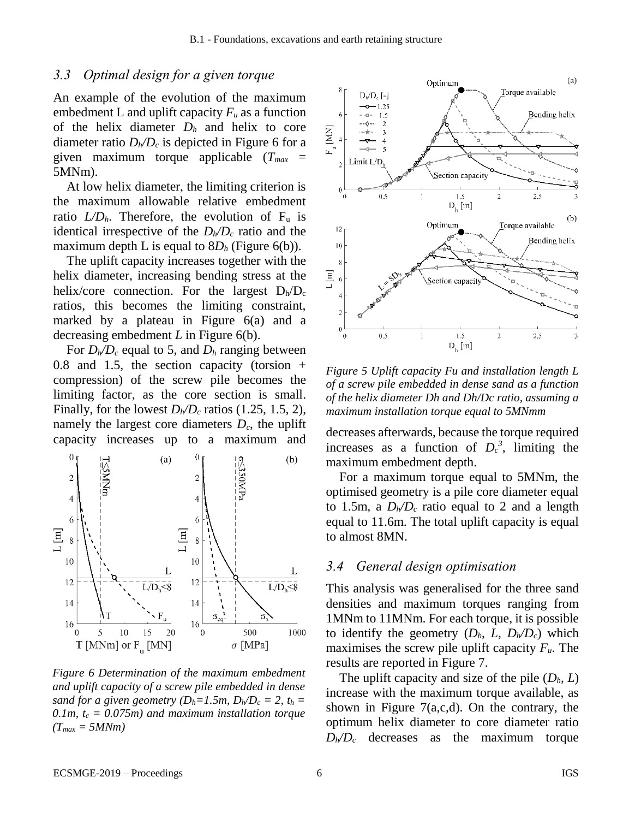#### *3.3 Optimal design for a given torque*

An example of the evolution of the maximum embedment L and uplift capacity  $F_u$  as a function of the helix diameter  $D_h$  and helix to core diameter ratio  $D_h/D_c$  is depicted in [Figure 6](#page-4-2) for a given maximum torque applicable (*Tmax* = 5MNm).

At low helix diameter, the limiting criterion is the maximum allowable relative embedment ratio  $LD<sub>h</sub>$ . Therefore, the evolution of  $F<sub>u</sub>$  is identical irrespective of the  $D_h/D_c$  ratio and the maximum depth L is equal to  $8D_h$  [\(Figure 6\(](#page-4-2)b)).

The uplift capacity increases together with the helix diameter, increasing bending stress at the helix/core connection. For the largest  $D_h/D_c$ ratios, this becomes the limiting constraint, marked by a plateau in [Figure 6\(](#page-4-2)a) and a decreasing embedment *L* in [Figure 6\(](#page-4-2)b).

For  $D_h/D_c$  equal to 5, and  $D_h$  ranging between 0.8 and 1.5, the section capacity (torsion + compression) of the screw pile becomes the limiting factor, as the core section is small. Finally, for the lowest  $D_h/D_c$  ratios (1.25, 1.5, 2), namely the largest core diameters *Dc*, the uplift capacity increases up to a maximum and decreases afterwards, because the torque required



<span id="page-5-0"></span>*Figure 6 Determination of the maximum embedment and uplift capacity of a screw pile embedded in dense sand for a given geometry*  $(D_h=1.5m, D_h/D_c = 2, t_h =$ *0.1m, t<sup>c</sup> = 0.075m) and maximum installation torque*   $(T_{max} = 5MNm)$ 



*Figure 5 Uplift capacity Fu and installation length L of a screw pile embedded in dense sand as a function of the helix diameter Dh and Dh/Dc ratio, assuming a maximum installation torque equal to 5MNmm*

increases as a function of  $D_c^3$ , limiting the maximum embedment depth.

For a maximum torque equal to 5MNm, the optimised geometry is a pile core diameter equal to 1.5m, a  $D_h/D_c$  ratio equal to 2 and a length equal to 11.6m. The total uplift capacity is equal to almost 8MN.

#### *3.4 General design optimisation*

This analysis was generalised for the three sand densities and maximum torques ranging from 1MNm to 11MNm. For each torque, it is possible to identify the geometry  $(D_h, L, D_h/D_c)$  which maximises the screw pile uplift capacity *Fu*. The results are reported in [Figure 7.](#page-6-0)

The uplift capacity and size of the pile  $(D_h, L)$ increase with the maximum torque available, as shown in [Figure 7\(](#page-6-0)a,c,d). On the contrary, the optimum helix diameter to core diameter ratio  $D_h/D_c$  decreases as the maximum torque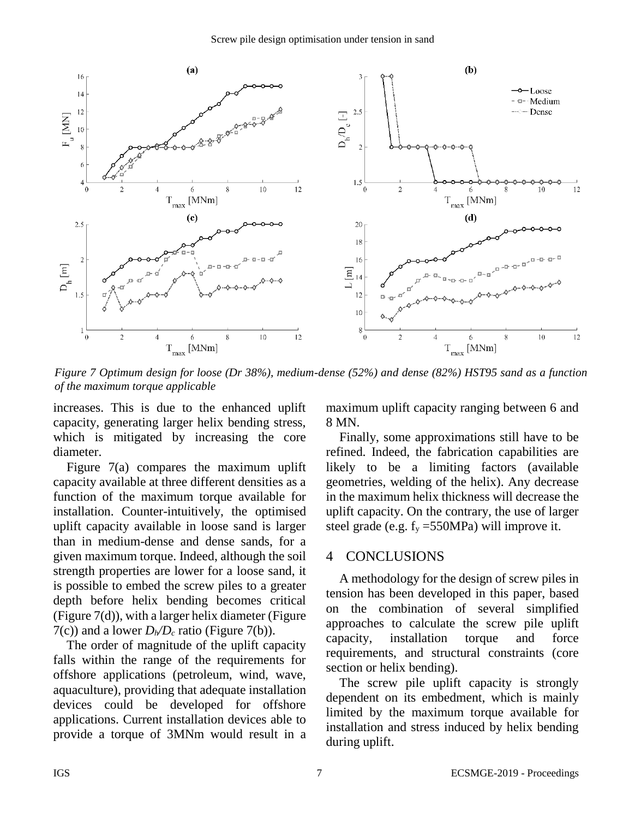

<span id="page-6-0"></span>*Figure 7 Optimum design for loose (Dr 38%), medium-dense (52%) and dense (82%) HST95 sand as a function of the maximum torque applicable*

increases. This is due to the enhanced uplift capacity, generating larger helix bending stress, which is mitigated by increasing the core diameter.

[Figure 7\(](#page-6-0)a) compares the maximum uplift capacity available at three different densities as a function of the maximum torque available for installation. Counter-intuitively, the optimised uplift capacity available in loose sand is larger than in medium-dense and dense sands, for a given maximum torque. Indeed, although the soil strength properties are lower for a loose sand, it is possible to embed the screw piles to a greater depth before helix bending becomes critical [\(Figure 7\(](#page-6-0)d)), with a larger helix diameter [\(Figure](#page-6-0)  [7\(](#page-6-0)c)) and a lower  $D_h/D_c$  ratio [\(Figure 7\(](#page-6-0)b)).

The order of magnitude of the uplift capacity falls within the range of the requirements for offshore applications (petroleum, wind, wave, aquaculture), providing that adequate installation devices could be developed for offshore applications. Current installation devices able to provide a torque of 3MNm would result in a maximum uplift capacity ranging between 6 and 8 MN.

Finally, some approximations still have to be refined. Indeed, the fabrication capabilities are likely to be a limiting factors (available geometries, welding of the helix). Any decrease in the maximum helix thickness will decrease the uplift capacity. On the contrary, the use of larger steel grade (e.g.  $f_v = 550MPa$ ) will improve it.

## 4 CONCLUSIONS

A methodology for the design of screw piles in tension has been developed in this paper, based on the combination of several simplified approaches to calculate the screw pile uplift capacity, installation torque and force requirements, and structural constraints (core section or helix bending).

The screw pile uplift capacity is strongly dependent on its embedment, which is mainly limited by the maximum torque available for installation and stress induced by helix bending during uplift.